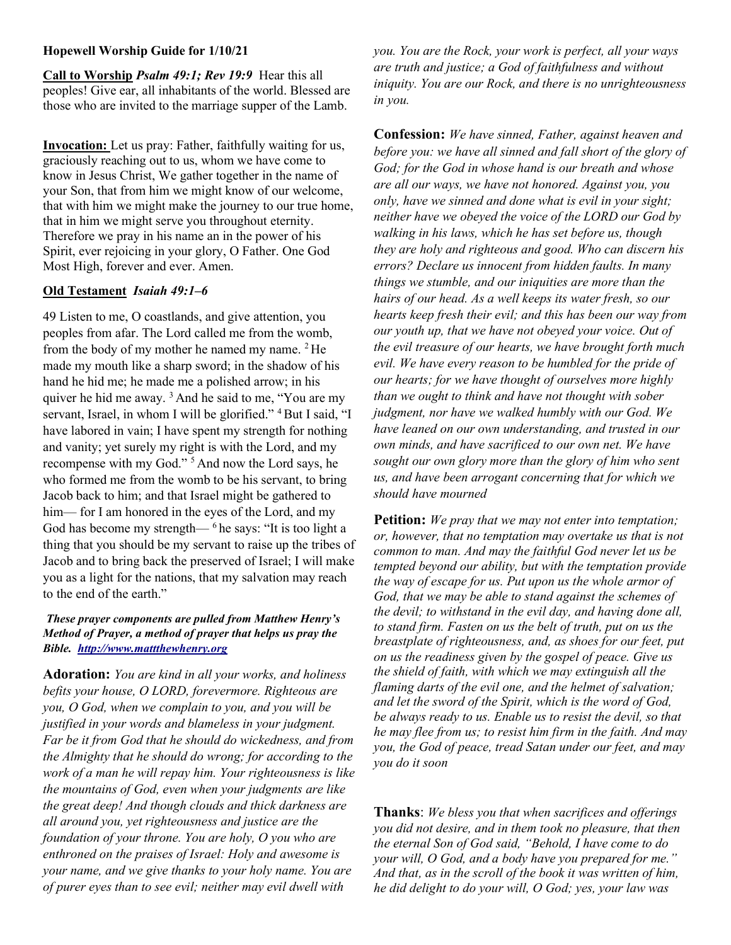## Hopewell Worship Guide for 1/10/21

Call to Worship Psalm 49:1; Rev 19:9 Hear this all peoples! Give ear, all inhabitants of the world. Blessed are those who are invited to the marriage supper of the Lamb.

Invocation: Let us pray: Father, faithfully waiting for us, graciously reaching out to us, whom we have come to know in Jesus Christ, We gather together in the name of your Son, that from him we might know of our welcome, that with him we might make the journey to our true home, that in him we might serve you throughout eternity. Therefore we pray in his name an in the power of his Spirit, ever rejoicing in your glory, O Father. One God Most High, forever and ever. Amen.

## Old Testament Isaiah 49:1–6

49 Listen to me, O coastlands, and give attention, you peoples from afar. The Lord called me from the womb, from the body of my mother he named my name. <sup>2</sup>He made my mouth like a sharp sword; in the shadow of his hand he hid me; he made me a polished arrow; in his quiver he hid me away.<sup>3</sup> And he said to me, "You are my servant, Israel, in whom I will be glorified." <sup>4</sup> But I said, "I have labored in vain; I have spent my strength for nothing and vanity; yet surely my right is with the Lord, and my recompense with my God."<sup>5</sup> And now the Lord says, he who formed me from the womb to be his servant, to bring Jacob back to him; and that Israel might be gathered to him— for I am honored in the eyes of the Lord, and my God has become my strength— $6$ he says: "It is too light a thing that you should be my servant to raise up the tribes of Jacob and to bring back the preserved of Israel; I will make you as a light for the nations, that my salvation may reach to the end of the earth."

## These prayer components are pulled from Matthew Henry's Method of Prayer, a method of prayer that helps us pray the Bible. http://www.mattthewhenry.org

Adoration: You are kind in all your works, and holiness befits your house, O LORD, forevermore. Righteous are you, O God, when we complain to you, and you will be justified in your words and blameless in your judgment. Far be it from God that he should do wickedness, and from the Almighty that he should do wrong; for according to the work of a man he will repay him. Your righteousness is like the mountains of God, even when your judgments are like the great deep! And though clouds and thick darkness are all around you, yet righteousness and justice are the foundation of your throne. You are holy, O you who are enthroned on the praises of Israel: Holy and awesome is your name, and we give thanks to your holy name. You are of purer eyes than to see evil; neither may evil dwell with

you. You are the Rock, your work is perfect, all your ways are truth and justice; a God of faithfulness and without iniquity. You are our Rock, and there is no unrighteousness in you.

**Confession:** We have sinned, Father, against heaven and before you: we have all sinned and fall short of the glory of God; for the God in whose hand is our breath and whose are all our ways, we have not honored. Against you, you only, have we sinned and done what is evil in your sight; neither have we obeyed the voice of the LORD our God by walking in his laws, which he has set before us, though they are holy and righteous and good. Who can discern his errors? Declare us innocent from hidden faults. In many things we stumble, and our iniquities are more than the hairs of our head. As a well keeps its water fresh, so our hearts keep fresh their evil; and this has been our way from our youth up, that we have not obeyed your voice. Out of the evil treasure of our hearts, we have brought forth much evil. We have every reason to be humbled for the pride of our hearts; for we have thought of ourselves more highly than we ought to think and have not thought with sober judgment, nor have we walked humbly with our God. We have leaned on our own understanding, and trusted in our own minds, and have sacrificed to our own net. We have sought our own glory more than the glory of him who sent us, and have been arrogant concerning that for which we should have mourned

**Petition:** We pray that we may not enter into temptation; or, however, that no temptation may overtake us that is not common to man. And may the faithful God never let us be tempted beyond our ability, but with the temptation provide the way of escape for us. Put upon us the whole armor of God, that we may be able to stand against the schemes of the devil; to withstand in the evil day, and having done all, to stand firm. Fasten on us the belt of truth, put on us the breastplate of righteousness, and, as shoes for our feet, put on us the readiness given by the gospel of peace. Give us the shield of faith, with which we may extinguish all the flaming darts of the evil one, and the helmet of salvation; and let the sword of the Spirit, which is the word of God, be always ready to us. Enable us to resist the devil, so that he may flee from us; to resist him firm in the faith. And may you, the God of peace, tread Satan under our feet, and may you do it soon

Thanks: We bless you that when sacrifices and offerings you did not desire, and in them took no pleasure, that then the eternal Son of God said, "Behold, I have come to do your will, O God, and a body have you prepared for me." And that, as in the scroll of the book it was written of him, he did delight to do your will, O God; yes, your law was